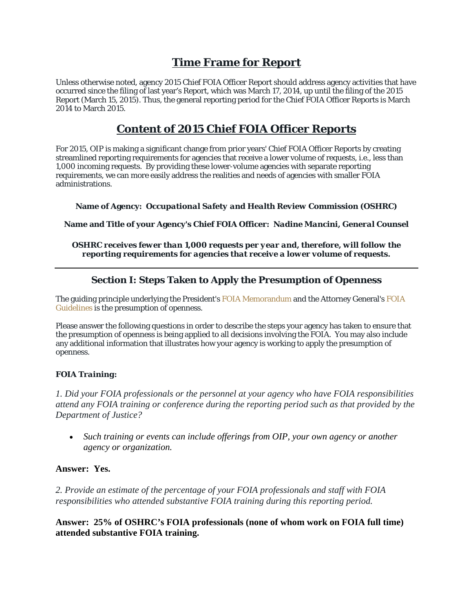# **Time Frame for Report**

Unless otherwise noted, agency 2015 Chief FOIA Officer Report should address agency activities that have occurred since the filing of last year's Report, which was March 17, 2014, up until the filing of the 2015 Report (March 15, 2015). Thus, the general reporting period for the Chief FOIA Officer Reports is March 2014 to March 2015.

# **Content of 2015 Chief FOIA Officer Reports**

For 2015, OIP is making a significant change from prior years' Chief FOIA Officer Reports by creating streamlined reporting requirements for agencies that receive a lower volume of requests, i.e., less than 1,000 incoming requests. By providing these lower-volume agencies with separate reporting requirements, we can more easily address the realities and needs of agencies with smaller FOIA administrations.

**Name of Agency:** *Occupational Safety and Health Review Commission (OSHRC)*

**Name and Title of your Agency's Chief FOIA Officer:** *Nadine Mancini, General Counsel* 

*OSHRC receives fewer than 1,000 requests per year and, therefore, will follow the reporting requirements for agencies that receive a lower volume of requests.* 

## **Section I: Steps Taken to Apply the Presumption of Openness**

The guiding principle underlying the President's FOIA Memorandum and the Attorney General's FOIA Guidelines is the presumption of openness.

Please answer the following questions in order to describe the steps your agency has taken to ensure that the presumption of openness is being applied to all decisions involving the FOIA. You may also include any additional information that illustrates how your agency is working to apply the presumption of openness.

#### *FOIA Training:*

*1. Did your FOIA professionals or the personnel at your agency who have FOIA responsibilities attend any FOIA training or conference during the reporting period such as that provided by the Department of Justice?*

 *Such training or events can include offerings from OIP, your own agency or another agency or organization.*

#### **Answer: Yes.**

*2. Provide an estimate of the percentage of your FOIA professionals and staff with FOIA responsibilities who attended substantive FOIA training during this reporting period.* 

**Answer: 25% of OSHRC's FOIA professionals (none of whom work on FOIA full time) attended substantive FOIA training.**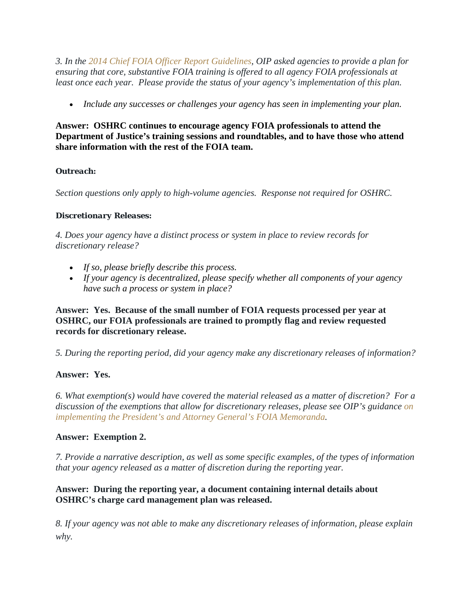*3. In the 2014 Chief FOIA Officer Report Guidelines, OIP asked agencies to provide a plan for ensuring that core, substantive FOIA training is offered to all agency FOIA professionals at least once each year. Please provide the status of your agency's implementation of this plan.*

*Include any successes or challenges your agency has seen in implementing your plan.*

**Answer: OSHRC continues to encourage agency FOIA professionals to attend the Department of Justice's training sessions and roundtables, and to have those who attend share information with the rest of the FOIA team.** 

## *Outreach:*

*Section questions only apply to high-volume agencies. Response not required for OSHRC.* 

## *Discretionary Releases:*

*4. Does your agency have a distinct process or system in place to review records for discretionary release?*

- *If so, please briefly describe this process.*
- *If your agency is decentralized, please specify whether all components of your agency have such a process or system in place?*

## **Answer: Yes. Because of the small number of FOIA requests processed per year at OSHRC, our FOIA professionals are trained to promptly flag and review requested records for discretionary release.**

*5. During the reporting period, did your agency make any discretionary releases of information?* 

## **Answer: Yes.**

*6. What exemption(s) would have covered the material released as a matter of discretion? For a discussion of the exemptions that allow for discretionary releases, please see OIP's guidance on implementing the President's and Attorney General's FOIA Memoranda.* 

## **Answer: Exemption 2.**

*7. Provide a narrative description, as well as some specific examples, of the types of information that your agency released as a matter of discretion during the reporting year.* 

## **Answer: During the reporting year, a document containing internal details about OSHRC's charge card management plan was released.**

*8. If your agency was not able to make any discretionary releases of information, please explain why.*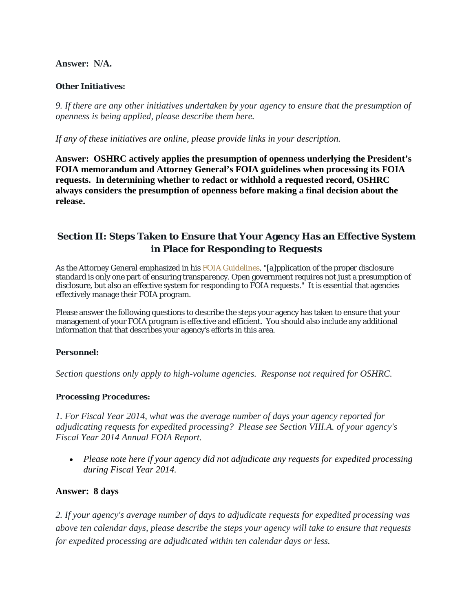#### **Answer: N/A.**

#### *Other Initiatives:*

*9. If there are any other initiatives undertaken by your agency to ensure that the presumption of openness is being applied, please describe them here.*

*If any of these initiatives are online, please provide links in your description.* 

**Answer: OSHRC actively applies the presumption of openness underlying the President's FOIA memorandum and Attorney General's FOIA guidelines when processing its FOIA requests. In determining whether to redact or withhold a requested record, OSHRC always considers the presumption of openness before making a final decision about the release.** 

## **Section II: Steps Taken to Ensure that Your Agency Has an Effective System in Place for Responding to Requests**

As the Attorney General emphasized in his FOIA Guidelines, "[a]pplication of the proper disclosure standard is only one part of ensuring transparency. Open government requires not just a presumption of disclosure, but also an effective system for responding to FOIA requests." It is essential that agencies effectively manage their FOIA program.

Please answer the following questions to describe the steps your agency has taken to ensure that your management of your FOIA program is effective and efficient. You should also include any additional information that that describes your agency's efforts in this area.

#### *Personnel:*

*Section questions only apply to high-volume agencies. Response not required for OSHRC.* 

#### *Processing Procedures:*

*1. For Fiscal Year 2014, what was the average number of days your agency reported for adjudicating requests for expedited processing? Please see Section VIII.A. of your agency's Fiscal Year 2014 Annual FOIA Report.*

 *Please note here if your agency did not adjudicate any requests for expedited processing during Fiscal Year 2014.*

#### **Answer: 8 days**

*2. If your agency's average number of days to adjudicate requests for expedited processing was above ten calendar days, please describe the steps your agency will take to ensure that requests for expedited processing are adjudicated within ten calendar days or less.*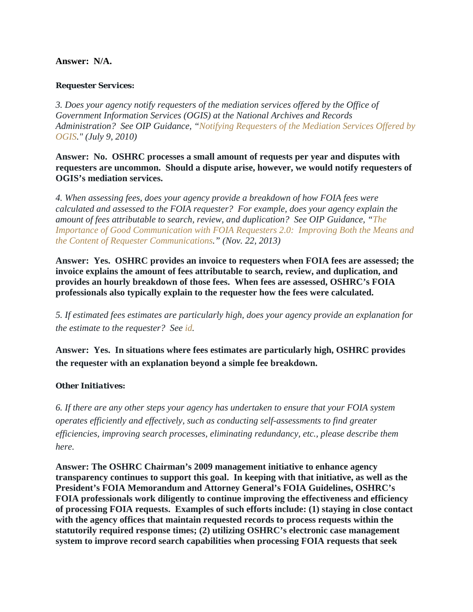#### **Answer: N/A.**

#### *Requester Services:*

*3. Does your agency notify requesters of the mediation services offered by the Office of Government Information Services (OGIS) at the National Archives and Records Administration? See OIP Guidance, "Notifying Requesters of the Mediation Services Offered by OGIS." (July 9, 2010)* 

**Answer: No. OSHRC processes a small amount of requests per year and disputes with requesters are uncommon. Should a dispute arise, however, we would notify requesters of OGIS's mediation services.** 

*4. When assessing fees, does your agency provide a breakdown of how FOIA fees were calculated and assessed to the FOIA requester? For example, does your agency explain the amount of fees attributable to search, review, and duplication? See OIP Guidance, "The Importance of Good Communication with FOIA Requesters 2.0: Improving Both the Means and the Content of Requester Communications." (Nov. 22, 2013)* 

**Answer: Yes. OSHRC provides an invoice to requesters when FOIA fees are assessed; the invoice explains the amount of fees attributable to search, review, and duplication, and provides an hourly breakdown of those fees. When fees are assessed, OSHRC's FOIA professionals also typically explain to the requester how the fees were calculated.** 

*5. If estimated fees estimates are particularly high, does your agency provide an explanation for the estimate to the requester? See id.* 

**Answer: Yes. In situations where fees estimates are particularly high, OSHRC provides the requester with an explanation beyond a simple fee breakdown.** 

#### *Other Initiatives:*

*6. If there are any other steps your agency has undertaken to ensure that your FOIA system operates efficiently and effectively, such as conducting self-assessments to find greater efficiencies, improving search processes, eliminating redundancy, etc., please describe them here.*

**Answer: The OSHRC Chairman's 2009 management initiative to enhance agency transparency continues to support this goal. In keeping with that initiative, as well as the President's FOIA Memorandum and Attorney General's FOIA Guidelines, OSHRC's FOIA professionals work diligently to continue improving the effectiveness and efficiency of processing FOIA requests. Examples of such efforts include: (1) staying in close contact with the agency offices that maintain requested records to process requests within the statutorily required response times; (2) utilizing OSHRC's electronic case management system to improve record search capabilities when processing FOIA requests that seek**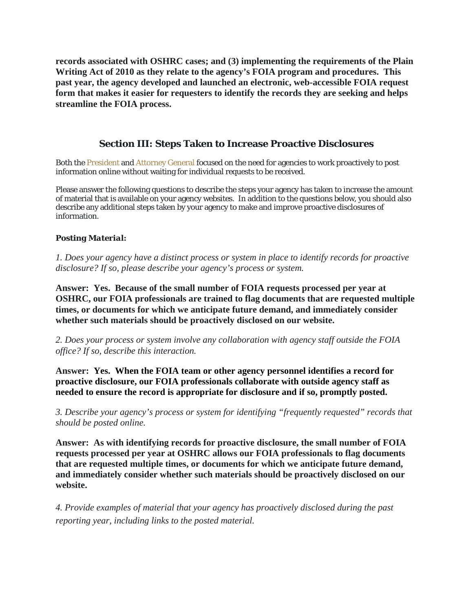**records associated with OSHRC cases; and (3) implementing the requirements of the Plain Writing Act of 2010 as they relate to the agency's FOIA program and procedures. This past year, the agency developed and launched an electronic, web-accessible FOIA request form that makes it easier for requesters to identify the records they are seeking and helps streamline the FOIA process.** 

## **Section III: Steps Taken to Increase Proactive Disclosures**

Both the President and Attorney General focused on the need for agencies to work proactively to post information online without waiting for individual requests to be received.

Please answer the following questions to describe the steps your agency has taken to increase the amount of material that is available on your agency websites. In addition to the questions below, you should also describe any additional steps taken by your agency to make and improve proactive disclosures of information.

#### *Posting Material:*

*1. Does your agency have a distinct process or system in place to identify records for proactive disclosure? If so, please describe your agency's process or system.* 

**Answer: Yes. Because of the small number of FOIA requests processed per year at OSHRC, our FOIA professionals are trained to flag documents that are requested multiple times, or documents for which we anticipate future demand, and immediately consider whether such materials should be proactively disclosed on our website.** 

*2. Does your process or system involve any collaboration with agency staff outside the FOIA office? If so, describe this interaction.* 

**Answer: Yes. When the FOIA team or other agency personnel identifies a record for proactive disclosure, our FOIA professionals collaborate with outside agency staff as needed to ensure the record is appropriate for disclosure and if so, promptly posted.** 

*3. Describe your agency's process or system for identifying "frequently requested" records that should be posted online.* 

**Answer: As with identifying records for proactive disclosure, the small number of FOIA requests processed per year at OSHRC allows our FOIA professionals to flag documents that are requested multiple times, or documents for which we anticipate future demand, and immediately consider whether such materials should be proactively disclosed on our website.** 

*4. Provide examples of material that your agency has proactively disclosed during the past reporting year, including links to the posted material.*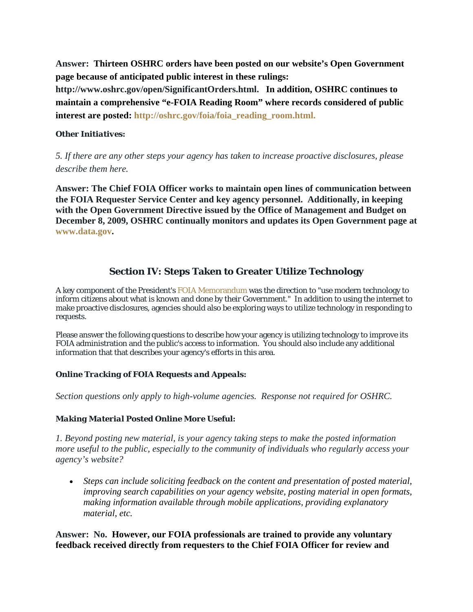**Answer: Thirteen OSHRC orders have been posted on our website's Open Government page because of anticipated public interest in these rulings:** 

**http://www.oshrc.gov/open/SignificantOrders.html. In addition, OSHRC continues to maintain a comprehensive "e-FOIA Reading Room" where records considered of public interest are posted: http://oshrc.gov/foia/foia\_reading\_room.html.**

#### *Other Initiatives:*

*5. If there are any other steps your agency has taken to increase proactive disclosures, please describe them here.*

**Answer: The Chief FOIA Officer works to maintain open lines of communication between the FOIA Requester Service Center and key agency personnel. Additionally, in keeping with the Open Government Directive issued by the Office of Management and Budget on December 8, 2009, OSHRC continually monitors and updates its Open Government page at www.data.gov.** 

## **Section IV: Steps Taken to Greater Utilize Technology**

A key component of the President's FOIA Memorandum was the direction to "use modern technology to inform citizens about what is known and done by their Government." In addition to using the internet to make proactive disclosures, agencies should also be exploring ways to utilize technology in responding to requests.

Please answer the following questions to describe how your agency is utilizing technology to improve its FOIA administration and the public's access to information. You should also include any additional information that that describes your agency's efforts in this area.

#### *Online Tracking of FOIA Requests and Appeals:*

*Section questions only apply to high-volume agencies. Response not required for OSHRC.* 

#### *Making Material Posted Online More Useful:*

*1. Beyond posting new material, is your agency taking steps to make the posted information more useful to the public, especially to the community of individuals who regularly access your agency's website?*

 *Steps can include soliciting feedback on the content and presentation of posted material, improving search capabilities on your agency website, posting material in open formats, making information available through mobile applications, providing explanatory material, etc.*

#### **Answer: No. However, our FOIA professionals are trained to provide any voluntary feedback received directly from requesters to the Chief FOIA Officer for review and**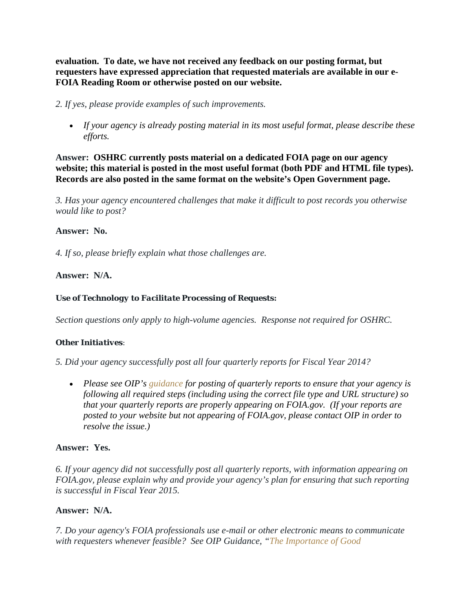**evaluation. To date, we have not received any feedback on our posting format, but requesters have expressed appreciation that requested materials are available in our e-FOIA Reading Room or otherwise posted on our website.**

*2. If yes, please provide examples of such improvements.*

 *If your agency is already posting material in its most useful format, please describe these efforts.*

**Answer: OSHRC currently posts material on a dedicated FOIA page on our agency website; this material is posted in the most useful format (both PDF and HTML file types). Records are also posted in the same format on the website's Open Government page.** 

*3. Has your agency encountered challenges that make it difficult to post records you otherwise would like to post?* 

#### **Answer: No.**

*4. If so, please briefly explain what those challenges are.* 

#### **Answer: N/A.**

#### *Use of Technology to Facilitate Processing of Requests:*

*Section questions only apply to high-volume agencies. Response not required for OSHRC.* 

#### *Other Initiatives:*

*5. Did your agency successfully post all four quarterly reports for Fiscal Year 2014?*

 *Please see OIP's guidance for posting of quarterly reports to ensure that your agency is following all required steps (including using the correct file type and URL structure) so that your quarterly reports are properly appearing on FOIA.gov. (If your reports are posted to your website but not appearing of FOIA.gov, please contact OIP in order to resolve the issue.)*

#### **Answer: Yes.**

*6. If your agency did not successfully post all quarterly reports, with information appearing on FOIA.gov, please explain why and provide your agency's plan for ensuring that such reporting is successful in Fiscal Year 2015.* 

#### **Answer: N/A.**

*7. Do your agency's FOIA professionals use e-mail or other electronic means to communicate with requesters whenever feasible? See OIP Guidance, "The Importance of Good*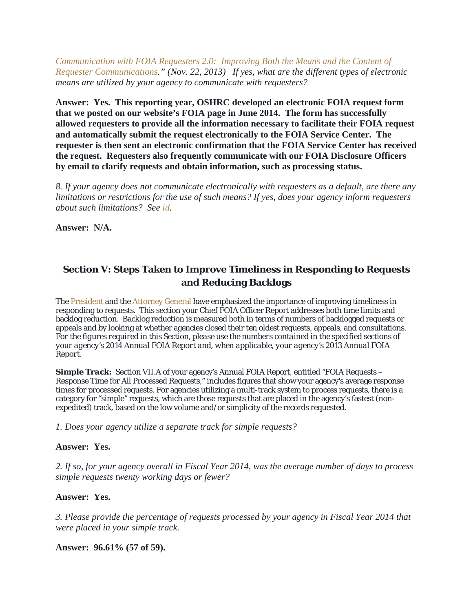*Communication with FOIA Requesters 2.0: Improving Both the Means and the Content of Requester Communications." (Nov. 22, 2013) If yes, what are the different types of electronic means are utilized by your agency to communicate with requesters?* 

**Answer: Yes. This reporting year, OSHRC developed an electronic FOIA request form that we posted on our website's FOIA page in June 2014. The form has successfully allowed requesters to provide all the information necessary to facilitate their FOIA request and automatically submit the request electronically to the FOIA Service Center. The requester is then sent an electronic confirmation that the FOIA Service Center has received the request. Requesters also frequently communicate with our FOIA Disclosure Officers by email to clarify requests and obtain information, such as processing status.** 

*8. If your agency does not communicate electronically with requesters as a default, are there any limitations or restrictions for the use of such means? If yes, does your agency inform requesters about such limitations? See id.* 

**Answer: N/A.** 

## **Section V: Steps Taken to Improve Timeliness in Responding to Requests and Reducing Backlogs**

The President and the Attorney General have emphasized the importance of improving timeliness in responding to requests. This section your Chief FOIA Officer Report addresses both time limits and backlog reduction. Backlog reduction is measured both in terms of numbers of backlogged requests or appeals and by looking at whether agencies closed their ten oldest requests, appeals, and consultations. *For the figures required in this Section, please use the numbers contained in the specified sections of your agency's 2014 Annual FOIA Report and, when applicable, your agency's 2013 Annual FOIA Report.*

**Simple Track:** Section VII.A of your agency's Annual FOIA Report, entitled "FOIA Requests – Response Time for All Processed Requests," includes figures that show your agency's average response times for processed requests. For agencies utilizing a multi-track system to process requests, there is a category for "simple" requests, which are those requests that are placed in the agency's fastest (nonexpedited) track, based on the low volume and/or simplicity of the records requested.

*1. Does your agency utilize a separate track for simple requests?* 

#### **Answer: Yes.**

*2. If so, for your agency overall in Fiscal Year 2014, was the average number of days to process simple requests twenty working days or fewer?* 

#### **Answer: Yes.**

*3. Please provide the percentage of requests processed by your agency in Fiscal Year 2014 that were placed in your simple track.* 

**Answer: 96.61% (57 of 59).**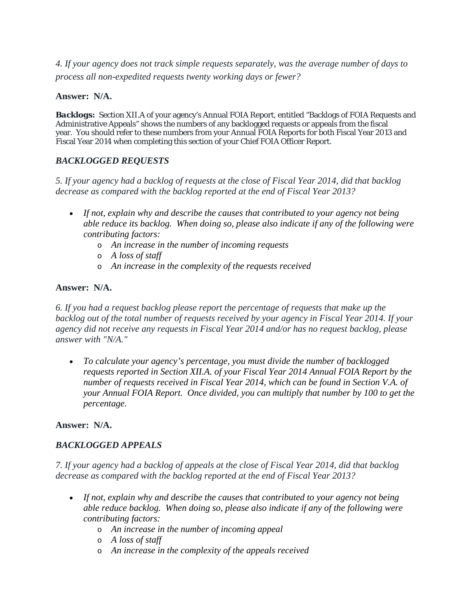*4. If your agency does not track simple requests separately, was the average number of days to process all non-expedited requests twenty working days or fewer?* 

#### **Answer: N/A.**

**Backlogs:** Section XII.A of your agency's Annual FOIA Report, entitled "Backlogs of FOIA Requests and Administrative Appeals" shows the numbers of any backlogged requests or appeals from the fiscal year. You should refer to these numbers from your Annual FOIA Reports for both Fiscal Year 2013 and Fiscal Year 2014 when completing this section of your Chief FOIA Officer Report.

## *BACKLOGGED REQUESTS*

*5. If your agency had a backlog of requests at the close of Fiscal Year 2014, did that backlog decrease as compared with the backlog reported at the end of Fiscal Year 2013?*

- *If not, explain why and describe the causes that contributed to your agency not being able reduce its backlog. When doing so, please also indicate if any of the following were contributing factors:*
	- o *An increase in the number of incoming requests*
	- o *A loss of staff*
	- o *An increase in the complexity of the requests received*

#### **Answer: N/A.**

*6. If you had a request backlog please report the percentage of requests that make up the backlog out of the total number of requests received by your agency in Fiscal Year 2014. If your agency did not receive any requests in Fiscal Year 2014 and/or has no request backlog, please answer with "N/A."*

 *To calculate your agency's percentage, you must divide the number of backlogged requests reported in Section XII.A. of your Fiscal Year 2014 Annual FOIA Report by the number of requests received in Fiscal Year 2014, which can be found in Section V.A. of your Annual FOIA Report. Once divided, you can multiply that number by 100 to get the percentage.*

#### **Answer: N/A.**

## *BACKLOGGED APPEALS*

*7. If your agency had a backlog of appeals at the close of Fiscal Year 2014, did that backlog decrease as compared with the backlog reported at the end of Fiscal Year 2013?*

- *If not, explain why and describe the causes that contributed to your agency not being able reduce backlog. When doing so, please also indicate if any of the following were contributing factors:*
	- o *An increase in the number of incoming appeal*
	- o *A loss of staff*
	- o *An increase in the complexity of the appeals received*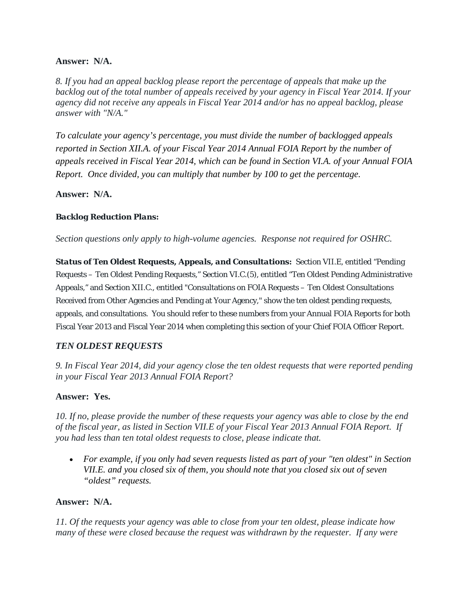#### **Answer: N/A.**

*8. If you had an appeal backlog please report the percentage of appeals that make up the backlog out of the total number of appeals received by your agency in Fiscal Year 2014. If your agency did not receive any appeals in Fiscal Year 2014 and/or has no appeal backlog, please answer with "N/A."*

*To calculate your agency's percentage, you must divide the number of backlogged appeals reported in Section XII.A. of your Fiscal Year 2014 Annual FOIA Report by the number of appeals received in Fiscal Year 2014, which can be found in Section VI.A. of your Annual FOIA Report. Once divided, you can multiply that number by 100 to get the percentage.* 

**Answer: N/A.** 

## *Backlog Reduction Plans:*

*Section questions only apply to high-volume agencies. Response not required for OSHRC.* 

*Status of Ten Oldest Requests, Appeals, and Consultations:* Section VII.E, entitled "Pending Requests – Ten Oldest Pending Requests," Section VI.C.(5), entitled "Ten Oldest Pending Administrative Appeals," and Section XII.C., entitled "Consultations on FOIA Requests – Ten Oldest Consultations Received from Other Agencies and Pending at Your Agency," show the ten oldest pending requests, appeals, and consultations. You should refer to these numbers from your Annual FOIA Reports for both Fiscal Year 2013 and Fiscal Year 2014 when completing this section of your Chief FOIA Officer Report.

## *TEN OLDEST REQUESTS*

*9. In Fiscal Year 2014, did your agency close the ten oldest requests that were reported pending in your Fiscal Year 2013 Annual FOIA Report?* 

#### **Answer: Yes.**

*10. If no, please provide the number of these requests your agency was able to close by the end of the fiscal year, as listed in Section VII.E of your Fiscal Year 2013 Annual FOIA Report. If you had less than ten total oldest requests to close, please indicate that.* 

 *For example, if you only had seven requests listed as part of your "ten oldest" in Section VII.E. and you closed six of them, you should note that you closed six out of seven "oldest" requests.* 

#### **Answer: N/A.**

*11. Of the requests your agency was able to close from your ten oldest, please indicate how many of these were closed because the request was withdrawn by the requester. If any were*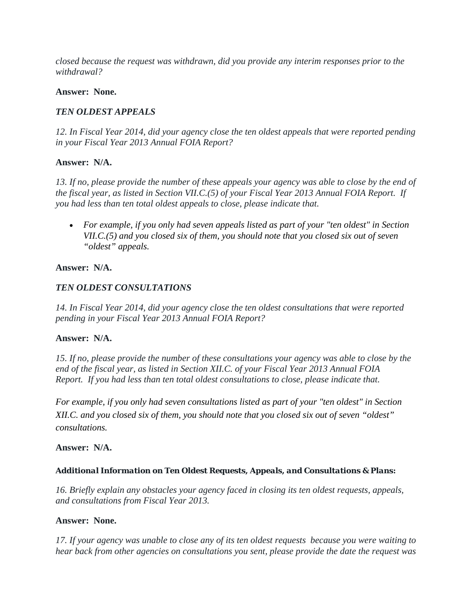*closed because the request was withdrawn, did you provide any interim responses prior to the withdrawal?* 

#### **Answer: None.**

#### *TEN OLDEST APPEALS*

*12. In Fiscal Year 2014, did your agency close the ten oldest appeals that were reported pending in your Fiscal Year 2013 Annual FOIA Report?* 

#### **Answer: N/A.**

*13. If no, please provide the number of these appeals your agency was able to close by the end of the fiscal year, as listed in Section VII.C.(5) of your Fiscal Year 2013 Annual FOIA Report. If you had less than ten total oldest appeals to close, please indicate that.* 

 *For example, if you only had seven appeals listed as part of your "ten oldest" in Section VII.C.(5) and you closed six of them, you should note that you closed six out of seven "oldest" appeals.* 

#### **Answer: N/A.**

#### *TEN OLDEST CONSULTATIONS*

*14. In Fiscal Year 2014, did your agency close the ten oldest consultations that were reported pending in your Fiscal Year 2013 Annual FOIA Report?* 

#### **Answer: N/A.**

*15. If no, please provide the number of these consultations your agency was able to close by the end of the fiscal year, as listed in Section XII.C. of your Fiscal Year 2013 Annual FOIA Report. If you had less than ten total oldest consultations to close, please indicate that.* 

*For example, if you only had seven consultations listed as part of your "ten oldest" in Section XII.C. and you closed six of them, you should note that you closed six out of seven "oldest" consultations.* 

#### **Answer: N/A.**

#### *Additional Information on Ten Oldest Requests, Appeals, and Consultations & Plans:*

*16. Briefly explain any obstacles your agency faced in closing its ten oldest requests, appeals, and consultations from Fiscal Year 2013.* 

#### **Answer: None.**

*17. If your agency was unable to close any of its ten oldest requests because you were waiting to hear back from other agencies on consultations you sent, please provide the date the request was*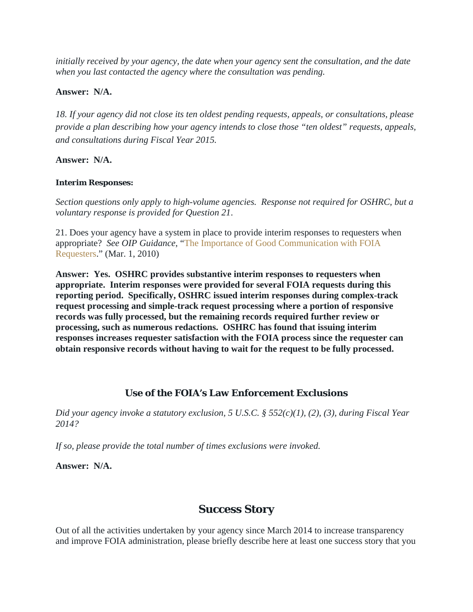*initially received by your agency, the date when your agency sent the consultation, and the date when you last contacted the agency where the consultation was pending.* 

#### **Answer: N/A.**

*18. If your agency did not close its ten oldest pending requests, appeals, or consultations, please provide a plan describing how your agency intends to close those "ten oldest" requests, appeals, and consultations during Fiscal Year 2015.*

#### **Answer: N/A.**

#### *Interim Responses:*

*Section questions only apply to high-volume agencies. Response not required for OSHRC, but a voluntary response is provided for Question 21*.

21. Does your agency have a system in place to provide interim responses to requesters when appropriate? *See OIP Guidance*, "The Importance of Good Communication with FOIA Requesters." (Mar. 1, 2010)

**Answer: Yes. OSHRC provides substantive interim responses to requesters when appropriate. Interim responses were provided for several FOIA requests during this reporting period. Specifically, OSHRC issued interim responses during complex-track request processing and simple-track request processing where a portion of responsive records was fully processed, but the remaining records required further review or processing, such as numerous redactions. OSHRC has found that issuing interim responses increases requester satisfaction with the FOIA process since the requester can obtain responsive records without having to wait for the request to be fully processed.**

## **Use of the FOIA's Law Enforcement Exclusions**

*Did your agency invoke a statutory exclusion, 5 U.S.C. § 552(c)(1), (2), (3), during Fiscal Year 2014?*

*If so, please provide the total number of times exclusions were invoked.*

**Answer: N/A.** 

# **Success Story**

Out of all the activities undertaken by your agency since March 2014 to increase transparency and improve FOIA administration, please briefly describe here at least one success story that you